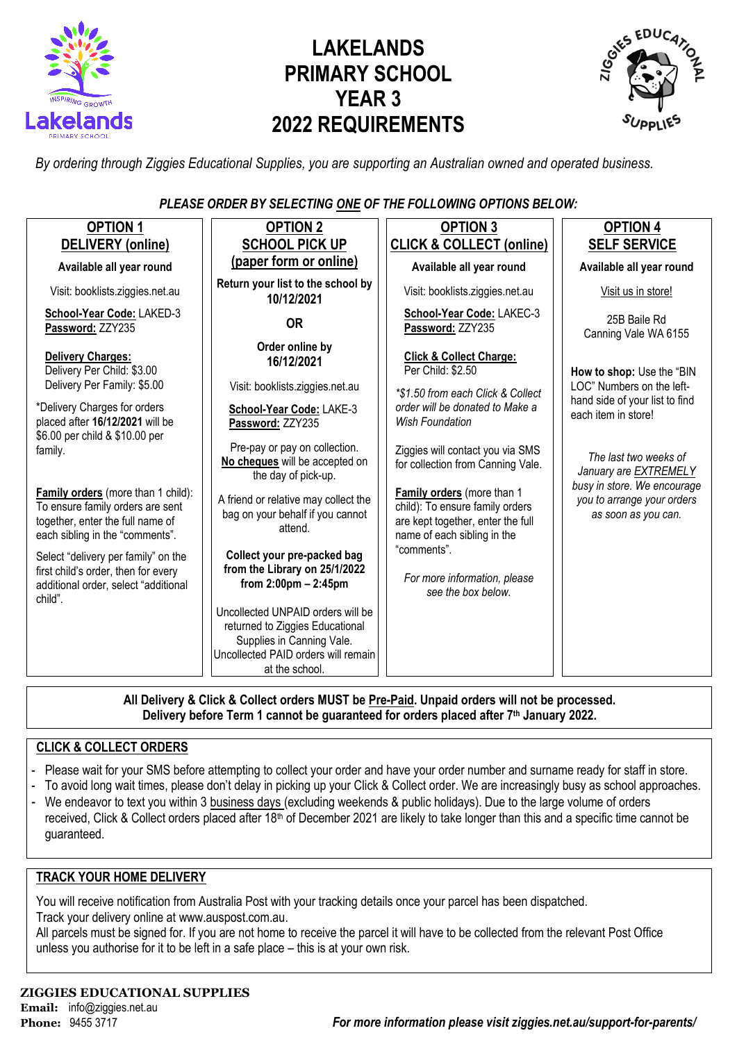

# **LAKELANDS PRIMARY SCHOOL YEAR 3 2022 REQUIREMENTS**



*By ordering through Ziggies Educational Supplies, you are supporting an Australian owned and operated business.*

*PLEASE ORDER BY SELECTING ONE OF THE FOLLOWING OPTIONS BELOW:*

| <b>OPTION 1</b>                                                                                                                               | <b>OPTION 2</b>                                                                                                                                                  | <b>OPTION 3</b>                                                                                                                   | <b>OPTION 4</b>                                                                  |  |
|-----------------------------------------------------------------------------------------------------------------------------------------------|------------------------------------------------------------------------------------------------------------------------------------------------------------------|-----------------------------------------------------------------------------------------------------------------------------------|----------------------------------------------------------------------------------|--|
| <b>DELIVERY</b> (online)                                                                                                                      | <b>SCHOOL PICK UP</b>                                                                                                                                            | <b>CLICK &amp; COLLECT (online)</b>                                                                                               | <b>SELF SERVICE</b>                                                              |  |
| Available all year round                                                                                                                      | (paper form or online)                                                                                                                                           | Available all year round                                                                                                          | Available all year round                                                         |  |
| Visit: booklists.ziggies.net.au                                                                                                               | Return your list to the school by<br>10/12/2021                                                                                                                  | Visit: booklists.ziggies.net.au                                                                                                   | Visit us in store!                                                               |  |
| School-Year Code: LAKED-3<br>Password: ZZY235                                                                                                 | <b>OR</b>                                                                                                                                                        | School-Year Code: LAKEC-3<br>Password: ZZY235                                                                                     | 25B Baile Rd<br>Canning Vale WA 6155                                             |  |
| Delivery Charges:<br>Delivery Per Child: \$3.00<br>Delivery Per Family: \$5.00                                                                | Order online by<br><b>Click &amp; Collect Charge:</b><br>16/12/2021<br>Per Child: \$2.50<br>Visit: booklists.ziggies.net.au<br>*\$1.50 from each Click & Collect |                                                                                                                                   | How to shop: Use the "BIN<br>LOC" Numbers on the left-                           |  |
| *Delivery Charges for orders<br>placed after 16/12/2021 will be                                                                               | School-Year Code: LAKE-3<br>Password: ZZY235                                                                                                                     | order will be donated to Make a<br><b>Wish Foundation</b>                                                                         | hand side of your list to find<br>each item in store!                            |  |
| \$6.00 per child & \$10.00 per<br>family.                                                                                                     | Pre-pay or pay on collection.<br>No cheques will be accepted on<br>the day of pick-up.                                                                           | Ziggies will contact you via SMS<br>for collection from Canning Vale.                                                             | The last two weeks of<br>January are EXTREMELY                                   |  |
| Family orders (more than 1 child):<br>To ensure family orders are sent<br>together, enter the full name of<br>each sibling in the "comments". | A friend or relative may collect the<br>bag on your behalf if you cannot<br>attend.                                                                              | Family orders (more than 1<br>child): To ensure family orders<br>are kept together, enter the full<br>name of each sibling in the | busy in store. We encourage<br>you to arrange your orders<br>as soon as you can. |  |
| Select "delivery per family" on the<br>first child's order, then for every<br>additional order, select "additional<br>child".                 | Collect your pre-packed bag<br>from the Library on 25/1/2022<br>from $2:00$ pm $- 2:45$ pm                                                                       | "comments".<br>For more information, please<br>see the box below.                                                                 |                                                                                  |  |
|                                                                                                                                               | Uncollected UNPAID orders will be<br>returned to Ziggies Educational<br>Supplies in Canning Vale.<br>Uncollected PAID orders will remain                         |                                                                                                                                   |                                                                                  |  |
|                                                                                                                                               | at the school.                                                                                                                                                   |                                                                                                                                   |                                                                                  |  |

**All Delivery & Click & Collect orders MUST be Pre-Paid. Unpaid orders will not be processed. Delivery before Term 1 cannot be guaranteed for orders placed after 7th January 2022.**

#### **CLICK & COLLECT ORDERS**

- Please wait for your SMS before attempting to collect your order and have your order number and surname ready for staff in store.
- To avoid long wait times, please don't delay in picking up your Click & Collect order. We are increasingly busy as school approaches.
- We endeavor to text you within 3 business days (excluding weekends & public holidays). Due to the large volume of orders
- received, Click & Collect orders placed after 18<sup>th</sup> of December 2021 are likely to take longer than this and a specific time cannot be guaranteed.

#### **TRACK YOUR HOME DELIVERY**

You will receive notification from Australia Post with your tracking details once your parcel has been dispatched. Track your delivery online a[t www.auspost.com.au.](http://www.auspost.com.au/)

All parcels must be signed for. If you are not home to receive the parcel it will have to be collected from the relevant Post Office unless you authorise for it to be left in a safe place – this is at your own risk.

## **ZIGGIES EDUCATIONAL SUPPLIES Email:** info@ziggies.net.au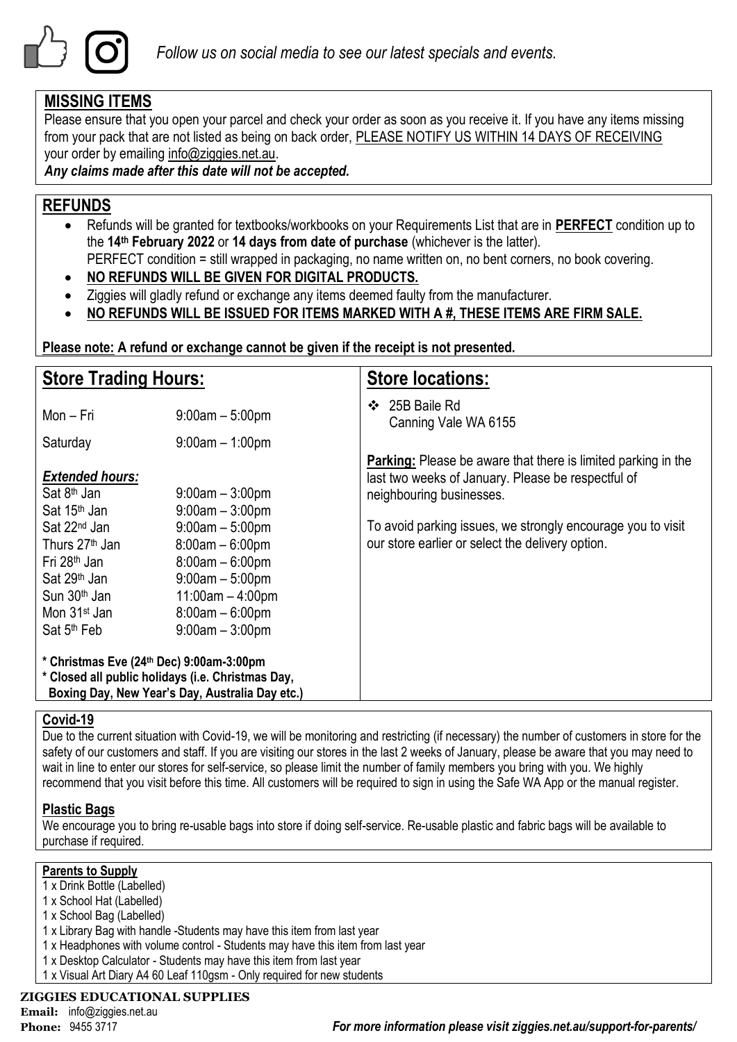

## **MISSING ITEMS**

Please ensure that you open your parcel and check your order as soon as you receive it. If you have any items missing from your pack that are not listed as being on back order, PLEASE NOTIFY US WITHIN 14 DAYS OF RECEIVING your order by emailing info@ziggies.net.au.

#### *Any claims made after this date will not be accepted.*

### **REFUNDS**

- Refunds will be granted for textbooks/workbooks on your Requirements List that are in **PERFECT** condition up to the **14th February 2022** or **14 days from date of purchase** (whichever is the latter). PERFECT condition = still wrapped in packaging, no name written on, no bent corners, no book covering.
- **NO REFUNDS WILL BE GIVEN FOR DIGITAL PRODUCTS.**
- Ziggies will gladly refund or exchange any items deemed faulty from the manufacturer.
- **NO REFUNDS WILL BE ISSUED FOR ITEMS MARKED WITH A #, THESE ITEMS ARE FIRM SALE.**

**Please note: A refund or exchange cannot be given if the receipt is not presented.**

| <b>Store Trading Hours:</b>                                                                                                                                                                                                                   |                                                                                                                                                                          | <b>Store locations:</b>                                                                                                                                                                                                                                                   |  |  |
|-----------------------------------------------------------------------------------------------------------------------------------------------------------------------------------------------------------------------------------------------|--------------------------------------------------------------------------------------------------------------------------------------------------------------------------|---------------------------------------------------------------------------------------------------------------------------------------------------------------------------------------------------------------------------------------------------------------------------|--|--|
| Mon – Fri                                                                                                                                                                                                                                     | $9:00$ am $-5:00$ pm                                                                                                                                                     | 25B Baile Rd<br>$\mathbf{A}$<br>Canning Vale WA 6155                                                                                                                                                                                                                      |  |  |
| Saturday                                                                                                                                                                                                                                      | $9:00$ am $-1:00$ pm                                                                                                                                                     |                                                                                                                                                                                                                                                                           |  |  |
| <b>Extended hours:</b><br>Sat $8th$ Jan<br>Sat 15 <sup>th</sup> Jan<br>Sat 22 <sup>nd</sup> Jan<br>Thurs 27 <sup>th</sup> Jan<br>Fri 28 <sup>th</sup> Jan<br>Sat 29 <sup>th</sup> Jan<br>Sun 30 <sup>th</sup> Jan<br>Mon 31 <sup>st</sup> Jan | $9:00$ am $-3:00$ pm<br>$9:00am - 3:00pm$<br>$9:00am - 5:00pm$<br>$8:00am - 6:00pm$<br>$8:00am - 6:00pm$<br>$9:00am - 5:00pm$<br>$11:00am - 4:00pm$<br>$8:00am - 6:00pm$ | <b>Parking:</b> Please be aware that there is limited parking in the<br>last two weeks of January. Please be respectful of<br>neighbouring businesses.<br>To avoid parking issues, we strongly encourage you to visit<br>our store earlier or select the delivery option. |  |  |
| Sat 5 <sup>th</sup> Feb                                                                                                                                                                                                                       | $9:00$ am $-3:00$ pm                                                                                                                                                     |                                                                                                                                                                                                                                                                           |  |  |
| * Christmas Eve (24th Dec) 9:00am-3:00pm<br>* Closed all public holidays (i.e. Christmas Day,<br>Boxing Day, New Year's Day, Australia Day etc.)                                                                                              |                                                                                                                                                                          |                                                                                                                                                                                                                                                                           |  |  |

#### **Covid-19**

Due to the current situation with Covid-19, we will be monitoring and restricting (if necessary) the number of customers in store for the safety of our customers and staff. If you are visiting our stores in the last 2 weeks of January, please be aware that you may need to wait in line to enter our stores for self-service, so please limit the number of family members you bring with you. We highly recommend that you visit before this time. All customers will be required to sign in using the Safe WA App or the manual register.

#### **Plastic Bags**

We encourage you to bring re-usable bags into store if doing self-service. Re-usable plastic and fabric bags will be available to purchase if required.

#### **Parents to Supply**

- 1 x Drink Bottle (Labelled)
- 1 x School Hat (Labelled)
- 1 x School Bag (Labelled)
- 1 x Library Bag with handle -Students may have this item from last year
- 1 x Headphones with volume control Students may have this item from last year
- 1 x Desktop Calculator Students may have this item from last year
- 1 x Visual Art Diary A4 60 Leaf 110gsm Only required for new students

#### **ZIGGIES EDUCATIONAL SUPPLIES**

**Email:** info@ziggies.net.au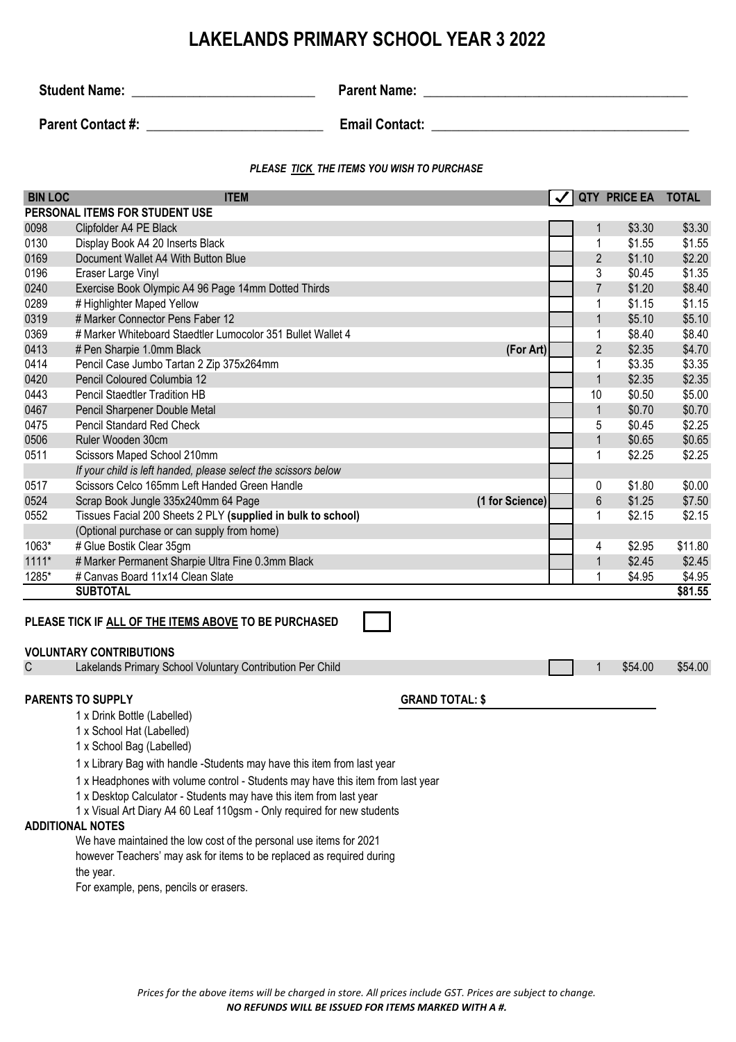## **LAKELANDS PRIMARY SCHOOL YEAR 3 2022**

**Student Name:** \_\_\_\_\_\_\_\_\_\_\_\_\_\_\_\_\_\_\_\_\_\_\_\_\_\_\_ **Parent Name: \_\_\_\_\_\_\_\_\_\_\_\_\_\_\_\_\_\_\_\_\_\_\_\_\_\_\_\_\_\_\_\_\_\_\_\_\_\_\_**

**Parent Contact #: Depictment Contact #: Email Contact: Email Contact: Email Contact: Parent Contact: Parent Contact: Parent Contact: Parent Contact: Parent Contact: Parent Contact: Parent Contact:**

#### *PLEASE TICK THE ITEMS YOU WISH TO PURCHASE*

| <b>BIN LOC</b>                                                                                                                                                                                           | <b>ITEM</b>                                                                                                                                 |  |                | <b>QTY PRICE EA</b> | <b>TOTAL</b> |  |  |
|----------------------------------------------------------------------------------------------------------------------------------------------------------------------------------------------------------|---------------------------------------------------------------------------------------------------------------------------------------------|--|----------------|---------------------|--------------|--|--|
|                                                                                                                                                                                                          | PERSONAL ITEMS FOR STUDENT USE                                                                                                              |  |                |                     |              |  |  |
| 0098                                                                                                                                                                                                     | Clipfolder A4 PE Black                                                                                                                      |  | $\mathbf{1}$   | \$3.30              | \$3.30       |  |  |
| 0130                                                                                                                                                                                                     | Display Book A4 20 Inserts Black                                                                                                            |  | $\mathbf 1$    | \$1.55              | \$1.55       |  |  |
| 0169                                                                                                                                                                                                     | Document Wallet A4 With Button Blue                                                                                                         |  | $\overline{2}$ | \$1.10              | \$2.20       |  |  |
| 0196                                                                                                                                                                                                     | Eraser Large Vinyl                                                                                                                          |  | 3              | \$0.45              | \$1.35       |  |  |
| 0240                                                                                                                                                                                                     | Exercise Book Olympic A4 96 Page 14mm Dotted Thirds                                                                                         |  | $\overline{7}$ | \$1.20              | \$8.40       |  |  |
| 0289                                                                                                                                                                                                     | # Highlighter Maped Yellow                                                                                                                  |  | 1              | \$1.15              | \$1.15       |  |  |
| 0319                                                                                                                                                                                                     | # Marker Connector Pens Faber 12                                                                                                            |  | $\mathbf{1}$   | \$5.10              | \$5.10       |  |  |
| 0369                                                                                                                                                                                                     | # Marker Whiteboard Staedtler Lumocolor 351 Bullet Wallet 4                                                                                 |  | 1              | \$8.40              | \$8.40       |  |  |
| 0413                                                                                                                                                                                                     | # Pen Sharpie 1.0mm Black<br>(For Art)                                                                                                      |  | $\overline{2}$ | \$2.35              | \$4.70       |  |  |
| 0414                                                                                                                                                                                                     | Pencil Case Jumbo Tartan 2 Zip 375x264mm                                                                                                    |  | 1              | \$3.35              | \$3.35       |  |  |
| 0420                                                                                                                                                                                                     | Pencil Coloured Columbia 12                                                                                                                 |  | $\mathbf{1}$   | \$2.35              | \$2.35       |  |  |
| 0443                                                                                                                                                                                                     | <b>Pencil Staedtler Tradition HB</b>                                                                                                        |  | 10             | \$0.50              | \$5.00       |  |  |
| 0467                                                                                                                                                                                                     | Pencil Sharpener Double Metal                                                                                                               |  | $\mathbf{1}$   | \$0.70              | \$0.70       |  |  |
| 0475                                                                                                                                                                                                     | <b>Pencil Standard Red Check</b>                                                                                                            |  | 5              | \$0.45              | \$2.25       |  |  |
| 0506                                                                                                                                                                                                     | Ruler Wooden 30cm                                                                                                                           |  | $\mathbf{1}$   | \$0.65              | \$0.65       |  |  |
| 0511                                                                                                                                                                                                     | Scissors Maped School 210mm                                                                                                                 |  | $\mathbf{1}$   | \$2.25              | \$2.25       |  |  |
|                                                                                                                                                                                                          | If your child is left handed, please select the scissors below                                                                              |  |                |                     |              |  |  |
| 0517                                                                                                                                                                                                     | Scissors Celco 165mm Left Handed Green Handle                                                                                               |  | $\pmb{0}$      | \$1.80              | \$0.00       |  |  |
| 0524                                                                                                                                                                                                     | Scrap Book Jungle 335x240mm 64 Page<br>(1 for Science)                                                                                      |  | $6\phantom{1}$ | \$1.25              | \$7.50       |  |  |
| 0552                                                                                                                                                                                                     | Tissues Facial 200 Sheets 2 PLY (supplied in bulk to school)                                                                                |  | 1              | \$2.15              | \$2.15       |  |  |
|                                                                                                                                                                                                          | (Optional purchase or can supply from home)                                                                                                 |  |                |                     |              |  |  |
| 1063*                                                                                                                                                                                                    | # Glue Bostik Clear 35gm                                                                                                                    |  | 4              | \$2.95              | \$11.80      |  |  |
| $1111*$                                                                                                                                                                                                  | # Marker Permanent Sharpie Ultra Fine 0.3mm Black                                                                                           |  | $\mathbf{1}$   | \$2.45              | \$2.45       |  |  |
| 1285*                                                                                                                                                                                                    | # Canvas Board 11x14 Clean Slate                                                                                                            |  | 1              | \$4.95              | \$4.95       |  |  |
|                                                                                                                                                                                                          | <b>SUBTOTAL</b>                                                                                                                             |  |                |                     | \$81.55      |  |  |
| PLEASE TICK IF ALL OF THE ITEMS ABOVE TO BE PURCHASED<br><b>VOLUNTARY CONTRIBUTIONS</b><br>\$54.00<br>$\mathsf C$<br>Lakelands Primary School Voluntary Contribution Per Child<br>\$54.00<br>$\mathbf 1$ |                                                                                                                                             |  |                |                     |              |  |  |
|                                                                                                                                                                                                          |                                                                                                                                             |  |                |                     |              |  |  |
|                                                                                                                                                                                                          | <b>PARENTS TO SUPPLY</b><br><b>GRAND TOTAL: \$</b><br>1 x Drink Bottle (Labelled)<br>1 x School Hat (Labelled)<br>1 x School Bag (Labelled) |  |                |                     |              |  |  |

1 x Library Bag with handle -Students may have this item from last year

1 x Headphones with volume control - Students may have this item from last year

1 x Desktop Calculator - Students may have this item from last year

1 x Visual Art Diary A4 60 Leaf 110gsm - Only required for new students

#### **ADDITIONAL NOTES**

We have maintained the low cost of the personal use items for 2021 however Teachers' may ask for items to be replaced as required during the year.

For example, pens, pencils or erasers.